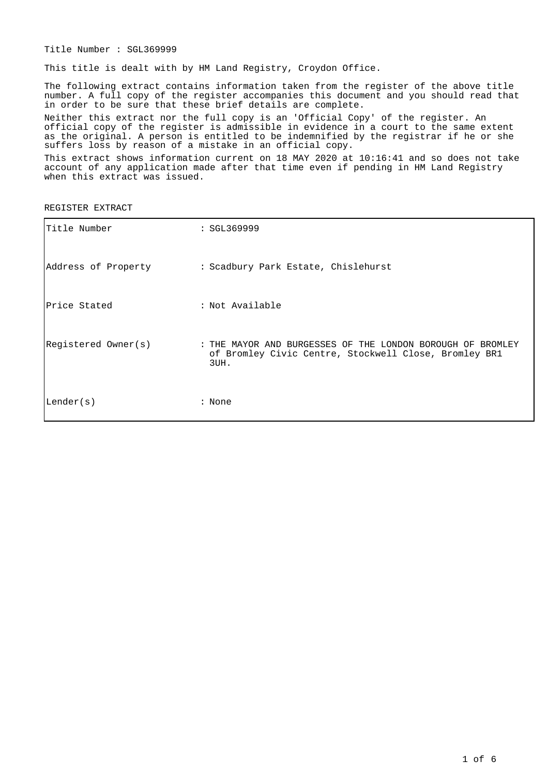Title Number : SGL369999

This title is dealt with by HM Land Registry, Croydon Office.

The following extract contains information taken from the register of the above title number. A full copy of the register accompanies this document and you should read that in order to be sure that these brief details are complete.

Neither this extract nor the full copy is an 'Official Copy' of the register. An official copy of the register is admissible in evidence in a court to the same extent as the original. A person is entitled to be indemnified by the registrar if he or she suffers loss by reason of a mistake in an official copy.

This extract shows information current on 18 MAY 2020 at 10:16:41 and so does not take account of any application made after that time even if pending in HM Land Registry when this extract was issued.

REGISTER EXTRACT

| Title Number        | : SGL369999                                                                                                                 |
|---------------------|-----------------------------------------------------------------------------------------------------------------------------|
| Address of Property | : Scadbury Park Estate, Chislehurst                                                                                         |
| Price Stated        | : Not Available                                                                                                             |
| Registered Owner(s) | : THE MAYOR AND BURGESSES OF THE LONDON BOROUGH OF BROMLEY<br>of Bromley Civic Centre, Stockwell Close, Bromley BR1<br>3UH. |
| Lender(s)           | : None                                                                                                                      |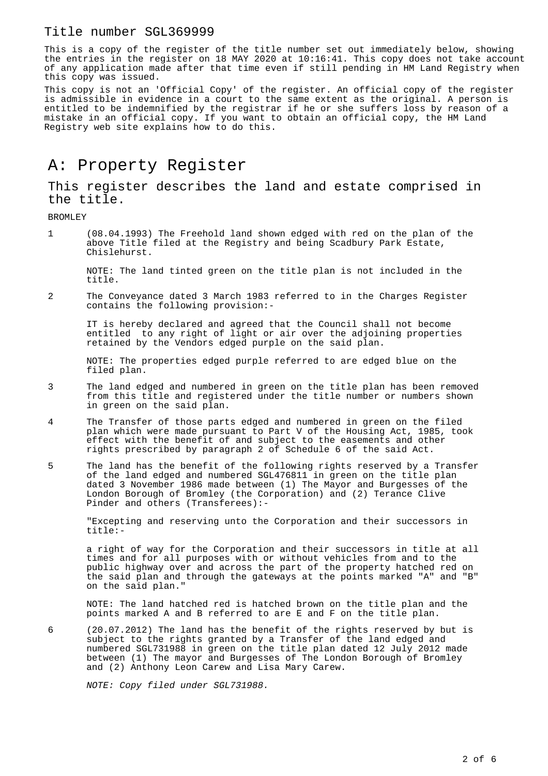#### Title number SGL369999

This is a copy of the register of the title number set out immediately below, showing the entries in the register on 18 MAY 2020 at 10:16:41. This copy does not take account of any application made after that time even if still pending in HM Land Registry when this copy was issued.

This copy is not an 'Official Copy' of the register. An official copy of the register is admissible in evidence in a court to the same extent as the original. A person is entitled to be indemnified by the registrar if he or she suffers loss by reason of a mistake in an official copy. If you want to obtain an official copy, the HM Land Registry web site explains how to do this.

## A: Property Register

This register describes the land and estate comprised in the title.

BROMLEY

1 (08.04.1993) The Freehold land shown edged with red on the plan of the above Title filed at the Registry and being Scadbury Park Estate, Chislehurst.

NOTE: The land tinted green on the title plan is not included in the title.

2 The Conveyance dated 3 March 1983 referred to in the Charges Register contains the following provision:-

IT is hereby declared and agreed that the Council shall not become entitled to any right of light or air over the adjoining properties retained by the Vendors edged purple on the said plan.

NOTE: The properties edged purple referred to are edged blue on the filed plan.

- 3 The land edged and numbered in green on the title plan has been removed from this title and registered under the title number or numbers shown in green on the said plan.
- 4 The Transfer of those parts edged and numbered in green on the filed plan which were made pursuant to Part V of the Housing Act, 1985, took effect with the benefit of and subject to the easements and other rights prescribed by paragraph 2 of Schedule 6 of the said Act.
- 5 The land has the benefit of the following rights reserved by a Transfer of the land edged and numbered SGL476811 in green on the title plan dated 3 November 1986 made between (1) The Mayor and Burgesses of the London Borough of Bromley (the Corporation) and (2) Terance Clive Pinder and others (Transferees):-

"Excepting and reserving unto the Corporation and their successors in title:-

a right of way for the Corporation and their successors in title at all times and for all purposes with or without vehicles from and to the public highway over and across the part of the property hatched red on the said plan and through the gateways at the points marked "A" and "B" on the said plan."

NOTE: The land hatched red is hatched brown on the title plan and the points marked A and B referred to are E and F on the title plan.

6 (20.07.2012) The land has the benefit of the rights reserved by but is subject to the rights granted by a Transfer of the land edged and numbered SGL731988 in green on the title plan dated 12 July 2012 made between (1) The mayor and Burgesses of The London Borough of Bromley and (2) Anthony Leon Carew and Lisa Mary Carew.

NOTE: Copy filed under SGL731988.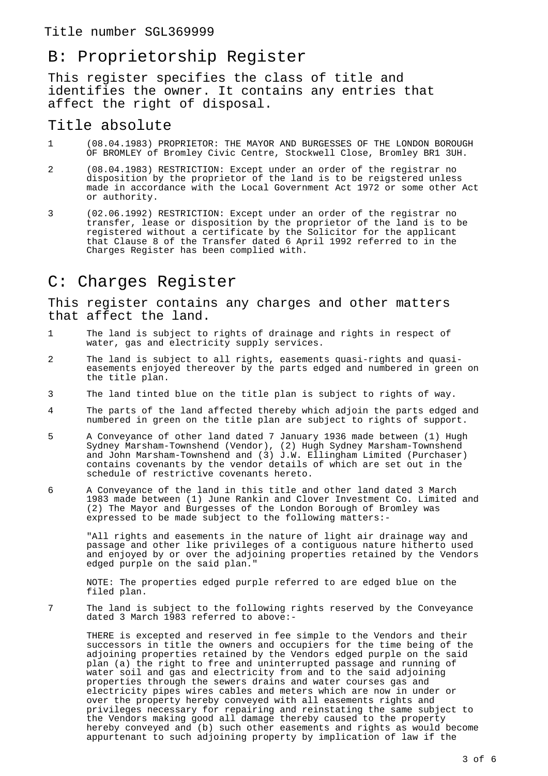### Title number SGL369999

# B: Proprietorship Register

This register specifies the class of title and identifies the owner. It contains any entries that affect the right of disposal.

### Title absolute

- 1 (08.04.1983) PROPRIETOR: THE MAYOR AND BURGESSES OF THE LONDON BOROUGH OF BROMLEY of Bromley Civic Centre, Stockwell Close, Bromley BR1 3UH.
- 2 (08.04.1983) RESTRICTION: Except under an order of the registrar no disposition by the proprietor of the land is to be reigstered unless made in accordance with the Local Government Act 1972 or some other Act or authority.
- 3 (02.06.1992) RESTRICTION: Except under an order of the registrar no transfer, lease or disposition by the proprietor of the land is to be registered without a certificate by the Solicitor for the applicant that Clause 8 of the Transfer dated 6 April 1992 referred to in the Charges Register has been complied with.

## C: Charges Register

This register contains any charges and other matters that affect the land.

- 1 The land is subject to rights of drainage and rights in respect of water, gas and electricity supply services.
- 2 The land is subject to all rights, easements quasi-rights and quasieasements enjoyed thereover by the parts edged and numbered in green on the title plan.
- 3 The land tinted blue on the title plan is subject to rights of way.
- 4 The parts of the land affected thereby which adjoin the parts edged and numbered in green on the title plan are subject to rights of support.
- 5 A Conveyance of other land dated 7 January 1936 made between (1) Hugh Sydney Marsham-Townshend (Vendor), (2) Hugh Sydney Marsham-Townshend and John Marsham-Townshend and (3) J.W. Ellingham Limited (Purchaser) contains covenants by the vendor details of which are set out in the schedule of restrictive covenants hereto.
- 6 A Conveyance of the land in this title and other land dated 3 March 1983 made between (1) June Rankin and Clover Investment Co. Limited and (2) The Mayor and Burgesses of the London Borough of Bromley was expressed to be made subject to the following matters:-

"All rights and easements in the nature of light air drainage way and passage and other like privileges of a contiguous nature hitherto used and enjoyed by or over the adjoining properties retained by the Vendors edged purple on the said plan."

NOTE: The properties edged purple referred to are edged blue on the filed plan.

7 The land is subject to the following rights reserved by the Conveyance dated 3 March 1983 referred to above:-

THERE is excepted and reserved in fee simple to the Vendors and their successors in title the owners and occupiers for the time being of the adjoining properties retained by the Vendors edged purple on the said plan (a) the right to free and uninterrupted passage and running of water soil and gas and electricity from and to the said adjoining properties through the sewers drains and water courses gas and electricity pipes wires cables and meters which are now in under or over the property hereby conveyed with all easements rights and privileges necessary for repairing and reinstating the same subject to the Vendors making good all damage thereby caused to the property hereby conveyed and (b) such other easements and rights as would become appurtenant to such adjoining property by implication of law if the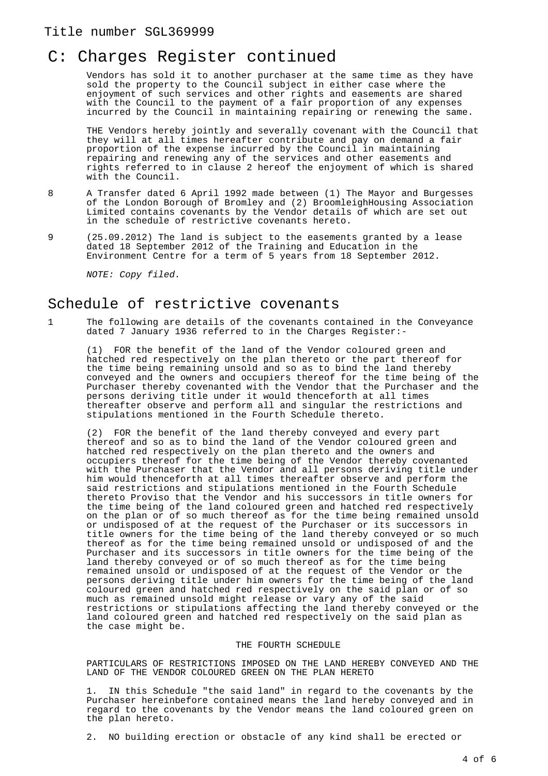### Title number SGL369999

# C: Charges Register continued

Vendors has sold it to another purchaser at the same time as they have sold the property to the Council subject in either case where the enjoyment of such services and other rights and easements are shared with the Council to the payment of a fair proportion of any expenses incurred by the Council in maintaining repairing or renewing the same.

THE Vendors hereby jointly and severally covenant with the Council that they will at all times hereafter contribute and pay on demand a fair proportion of the expense incurred by the Council in maintaining repairing and renewing any of the services and other easements and rights referred to in clause 2 hereof the enjoyment of which is shared with the Council.

- 8 A Transfer dated 6 April 1992 made between (1) The Mayor and Burgesses of the London Borough of Bromley and (2) BroomleighHousing Association Limited contains covenants by the Vendor details of which are set out in the schedule of restrictive covenants hereto.
- 9 (25.09.2012) The land is subject to the easements granted by a lease dated 18 September 2012 of the Training and Education in the Environment Centre for a term of 5 years from 18 September 2012.

NOTE: Copy filed.

### Schedule of restrictive covenants

1 The following are details of the covenants contained in the Conveyance dated 7 January 1936 referred to in the Charges Register:-

(1) FOR the benefit of the land of the Vendor coloured green and hatched red respectively on the plan thereto or the part thereof for the time being remaining unsold and so as to bind the land thereby conveyed and the owners and occupiers thereof for the time being of the Purchaser thereby covenanted with the Vendor that the Purchaser and the persons deriving title under it would thenceforth at all times thereafter observe and perform all and singular the restrictions and stipulations mentioned in the Fourth Schedule thereto.

(2) FOR the benefit of the land thereby conveyed and every part thereof and so as to bind the land of the Vendor coloured green and hatched red respectively on the plan thereto and the owners and occupiers thereof for the time being of the Vendor thereby covenanted with the Purchaser that the Vendor and all persons deriving title under him would thenceforth at all times thereafter observe and perform the said restrictions and stipulations mentioned in the Fourth Schedule thereto Proviso that the Vendor and his successors in title owners for the time being of the land coloured green and hatched red respectively on the plan or of so much thereof as for the time being remained unsold or undisposed of at the request of the Purchaser or its successors in title owners for the time being of the land thereby conveyed or so much thereof as for the time being remained unsold or undisposed of and the Purchaser and its successors in title owners for the time being of the land thereby conveyed or of so much thereof as for the time being remained unsold or undisposed of at the request of the Vendor or the persons deriving title under him owners for the time being of the land coloured green and hatched red respectively on the said plan or of so much as remained unsold might release or vary any of the said restrictions or stipulations affecting the land thereby conveyed or the land coloured green and hatched red respectively on the said plan as the case might be.

#### THE FOURTH SCHEDULE

PARTICULARS OF RESTRICTIONS IMPOSED ON THE LAND HEREBY CONVEYED AND THE LAND OF THE VENDOR COLOURED GREEN ON THE PLAN HERETO

1. IN this Schedule "the said land" in regard to the covenants by the Purchaser hereinbefore contained means the land hereby conveyed and in regard to the covenants by the Vendor means the land coloured green on the plan hereto.

2. NO building erection or obstacle of any kind shall be erected or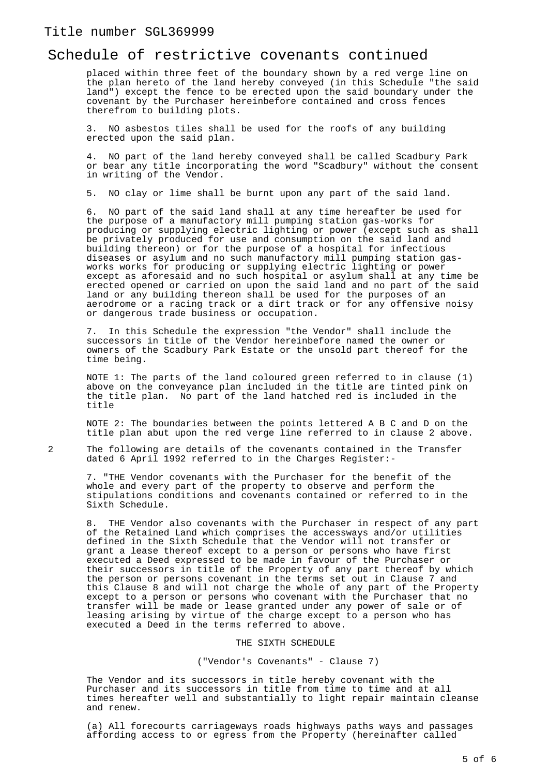### Schedule of restrictive covenants continued

placed within three feet of the boundary shown by a red verge line on the plan hereto of the land hereby conveyed (in this Schedule "the said land") except the fence to be erected upon the said boundary under the covenant by the Purchaser hereinbefore contained and cross fences therefrom to building plots.

3. NO asbestos tiles shall be used for the roofs of any building erected upon the said plan.

4. NO part of the land hereby conveyed shall be called Scadbury Park or bear any title incorporating the word "Scadbury" without the consent in writing of the Vendor.

5. NO clay or lime shall be burnt upon any part of the said land.

6. NO part of the said land shall at any time hereafter be used for the purpose of a manufactory mill pumping station gas-works for producing or supplying electric lighting or power (except such as shall be privately produced for use and consumption on the said land and building thereon) or for the purpose of a hospital for infectious diseases or asylum and no such manufactory mill pumping station gasworks works for producing or supplying electric lighting or power except as aforesaid and no such hospital or asylum shall at any time be erected opened or carried on upon the said land and no part of the said land or any building thereon shall be used for the purposes of an aerodrome or a racing track or a dirt track or for any offensive noisy or dangerous trade business or occupation.

7. In this Schedule the expression "the Vendor" shall include the successors in title of the Vendor hereinbefore named the owner or owners of the Scadbury Park Estate or the unsold part thereof for the time being.

NOTE 1: The parts of the land coloured green referred to in clause (1) above on the conveyance plan included in the title are tinted pink on the title plan. No part of the land hatched red is included in the title

NOTE 2: The boundaries between the points lettered A B C and D on the title plan abut upon the red verge line referred to in clause 2 above.

2 The following are details of the covenants contained in the Transfer dated 6 April 1992 referred to in the Charges Register:-

7. "THE Vendor covenants with the Purchaser for the benefit of the whole and every part of the property to observe and perform the stipulations conditions and covenants contained or referred to in the Sixth Schedule.

8. THE Vendor also covenants with the Purchaser in respect of any part of the Retained Land which comprises the accessways and/or utilities defined in the Sixth Schedule that the Vendor will not transfer or grant a lease thereof except to a person or persons who have first executed a Deed expressed to be made in favour of the Purchaser or their successors in title of the Property of any part thereof by which the person or persons covenant in the terms set out in Clause 7 and this Clause 8 and will not charge the whole of any part of the Property except to a person or persons who covenant with the Purchaser that no transfer will be made or lease granted under any power of sale or of leasing arising by virtue of the charge except to a person who has executed a Deed in the terms referred to above.

#### THE SIXTH SCHEDULE

#### ("Vendor's Covenants" - Clause 7)

The Vendor and its successors in title hereby covenant with the Purchaser and its successors in title from time to time and at all times hereafter well and substantially to light repair maintain cleanse and renew.

(a) All forecourts carriageways roads highways paths ways and passages affording access to or egress from the Property (hereinafter called